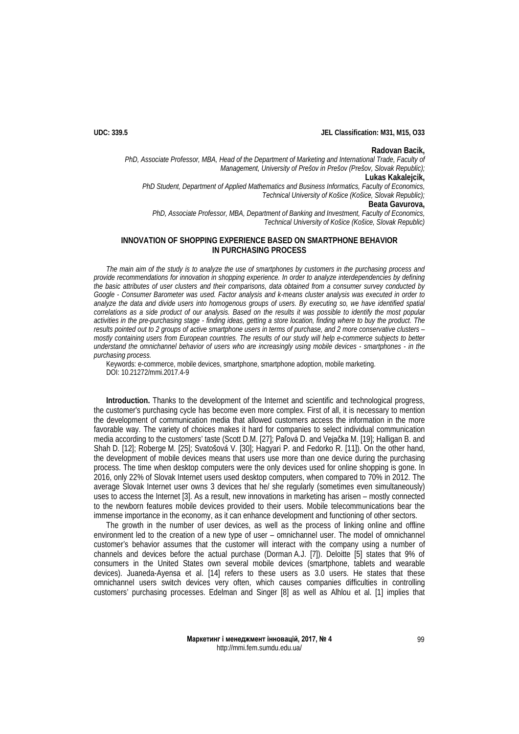## **UDC: 339.5 JEL Classification: M31, M15, O33**

### **Radovan Bacik,**

*PhD, Associate Professor, MBA, Head of the Department of Marketing and International Trade, Faculty of Management, University of Prešov in Prešov (Prešov, Slovak Republic);*

**Lukas Kakalejcik,**

*PhD Student, Department of Applied Mathematics and Business Informatics, Faculty of Economics, Technical University of Košice (Košice, Slovak Republic);*

# **Beata Gavurova,**

*PhD, Associate Professor, MBA, Department of Banking and Investment, Faculty of Economics, Technical University of Košice (Košice, Slovak Republic)*

## **INNOVATION OF SHOPPING EXPERIENCE BASED ON SMARTPHONE BEHAVIOR IN PURCHASING PROCESS**

*The main aim of the study is to analyze the use of smartphones by customers in the purchasing process and provide recommendations for innovation in shopping experience. In order to analyze interdependencies by defining the basic attributes of user clusters and their comparisons, data obtained from a consumer survey conducted by Google - Consumer Barometer was used. Factor analysis and k-means cluster analysis was executed in order to analyze the data and divide users into homogenous groups of users. By executing so, we have identified spatial correlations as a side product of our analysis. Based on the results it was possible to identify the most popular activities in the pre-purchasing stage - finding ideas, getting a store location, finding where to buy the product. The results pointed out to 2 groups of active smartphone users in terms of purchase, and 2 more conservative clusters – mostly containing users from European countries. The results of our study will help e-commerce subjects to better understand the omnichannel behavior of users who are increasingly using mobile devices - smartphones - in the purchasing process.*

Keywords: e-commerce, mobile devices, smartphone, smartphone adoption, mobile marketing. DOI: 10.21272/mmi.2017.4-9

**Introduction.** Thanks to the development of the Internet and scientific and technological progress, the customer's purchasing cycle has become even more complex. First of all, it is necessary to mention the development of communication media that allowed customers access the information in the more favorable way. The variety of choices makes it hard for companies to select individual communication media according to the customers' taste (Scott D.M. [\[27](#page-12-0)]; Paľová D. and Vejačka M. [\[19\]](#page-11-0); Halligan B. and Shah D. [\[12\];](#page-11-1) Roberge M. [\[25\]](#page-12-1); Svatošová V. [\[30\];](#page-12-2) Hagyari P. and Fedorko R. [\[11\]\)](#page-11-2). On the other hand, the development of mobile devices means that users use more than one device during the purchasing process. The time when desktop computers were the only devices used for online shopping is gone. In 2016, only 22% of Slovak Internet users used desktop computers, when compared to 70% in 2012. The average Slovak Internet user owns 3 devices that he/ she regularly (sometimes even simultaneously) uses to access the Internet [\[3\]](#page-11-3). As a result, new innovations in marketing has arisen – mostly connected to the newborn features mobile devices provided to their users. Mobile telecommunications bear the immense importance in the economy, as it can enhance development and functioning of other sectors.

The growth in the number of user devices, as well as the process of linking online and offline environment led to the creation of a new type of user – omnichannel user. The model of omnichannel customer's behavior assumes that the customer will interact with the company using a number of channels and devices before the actual purchase (Dorman A.J. [\[7\]](#page-11-4)). Deloitte [\[5\]](#page-11-5) states that 9% of consumers in the United States own several mobile devices (smartphone, tablets and wearable devices). Juaneda-Ayensa et al. [\[14\]](#page-11-6) refers to these users as 3.0 users. He states that these omnichannel users switch devices very often, which causes companies difficulties in controlling customers' purchasing processes. Edelman and Singer [\[8\]](#page-11-7) as well as Alhlou et al. [\[1\]](#page-11-8) implies that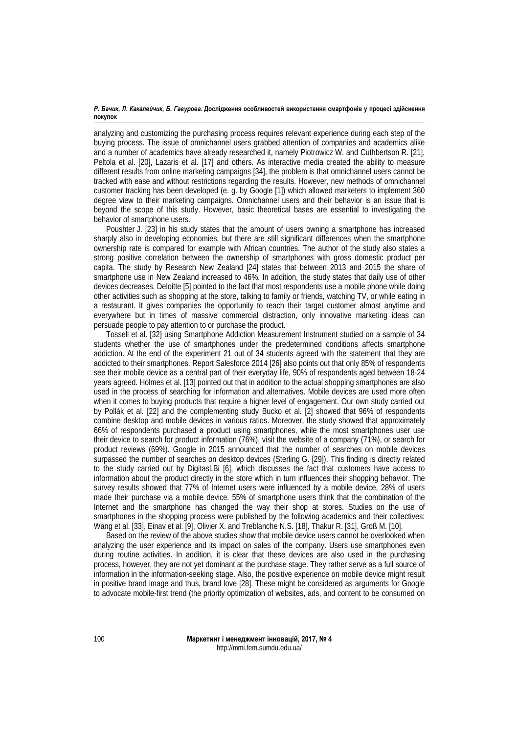analyzing and customizing the purchasing process requires relevant experience during each step of the buying process. The issue of omnichannel users grabbed attention of companies and academics alike and a number of academics have already researched it, namely Piotrowicz W. and Cuthbertson R. [\[21\]](#page-12-3), Peltola et al. [\[20\],](#page-11-9) Lazaris et al. [\[17\]](#page-11-10) and others. As interactive media created the ability to measure different results from online marketing campaigns [\[34\]](#page-12-4), the problem is that omnichannel users cannot be tracked with ease and without restrictions regarding the results. However, new methods of omnichannel customer tracking has been developed (e. g. by Google [\[1\]\)](#page-11-8) which allowed marketers to implement 360 degree view to their marketing campaigns. Omnichannel users and their behavior is an issue that is beyond the scope of this study. However, basic theoretical bases are essential to investigating the behavior of smartphone users.

Poushter J. [\[23\]](#page-12-5) in his study states that the amount of users owning a smartphone has increased sharply also in developing economies, but there are still significant differences when the smartphone ownership rate is compared for example with African countries. The author of the study also states a strong positive correlation between the ownership of smartphones with gross domestic product per capita. The study by Research New Zealand [\[24\]](#page-12-6) states that between 2013 and 2015 the share of smartphone use in New Zealand increased to 46%. In addition, the study states that daily use of other devices decreases. Deloitte [\[5\]](#page-11-5) pointed to the fact that most respondents use a mobile phone while doing other activities such as shopping at the store, talking to family or friends, watching TV, or while eating in a restaurant. It gives companies the opportunity to reach their target customer almost anytime and everywhere but in times of massive commercial distraction, only innovative marketing ideas can persuade people to pay attention to or purchase the product.

Tossell et al. [\[32\]](#page-12-7) using Smartphone Addiction Measurement Instrument studied on a sample of 34 students whether the use of smartphones under the predetermined conditions affects smartphone addiction. At the end of the experiment 21 out of 34 students agreed with the statement that they are addicted to their smartphones. Report Salesforce 2014 [\[26\]](#page-12-8) also points out that only 85% of respondents see their mobile device as a central part of their everyday life, 90% of respondents aged between 18-24 years agreed. Holmes et al. [\[13\]](#page-11-11) pointed out that in addition to the actual shopping smartphones are also used in the process of searching for information and alternatives. Mobile devices are used more often when it comes to buying products that require a higher level of engagement. Our own study carried out by Pollák et al. [\[22\]](#page-12-9) and the complementing study Bucko et al. [\[2\]](#page-11-12) showed that 96% of respondents combine desktop and mobile devices in various ratios. Moreover, the study showed that approximately 66% of respondents purchased a product using smartphones, while the most smartphones user use their device to search for product information (76%), visit the website of a company (71%), or search for product reviews (69%). Google in 2015 announced that the number of searches on mobile devices surpassed the number of searches on desktop devices (Sterling G. [\[29\]\)](#page-12-10). This finding is directly related to the study carried out by DigitasLBi [\[6\]](#page-11-13), which discusses the fact that customers have access to information about the product directly in the store which in turn influences their shopping behavior. The survey results showed that 77% of Internet users were influenced by a mobile device, 28% of users made their purchase via a mobile device. 55% of smartphone users think that the combination of the Internet and the smartphone has changed the way their shop at stores. Studies on the use of smartphones in the shopping process were published by the following academics and their collectives: Wang et al. [\[33\]](#page-12-11), Einav et al. [\[9\],](#page-11-14) Olivier X. and Treblanche N.S. [\[18\]](#page-11-15), Thakur R. [\[31\],](#page-12-12) Groß M. [\[10\]](#page-11-16).

Based on the review of the above studies show that mobile device users cannot be overlooked when analyzing the user experience and its impact on sales of the company. Users use smartphones even during routine activities. In addition, it is clear that these devices are also used in the purchasing process, however, they are not yet dominant at the purchase stage. They rather serve as a full source of information in the information-seeking stage. Also, the positive experience on mobile device might result in positive brand image and thus, brand love [\[28\]](#page-12-13). These might be considered as arguments for Google to advocate mobile-first trend (the priority optimization of websites, ads, and content to be consumed on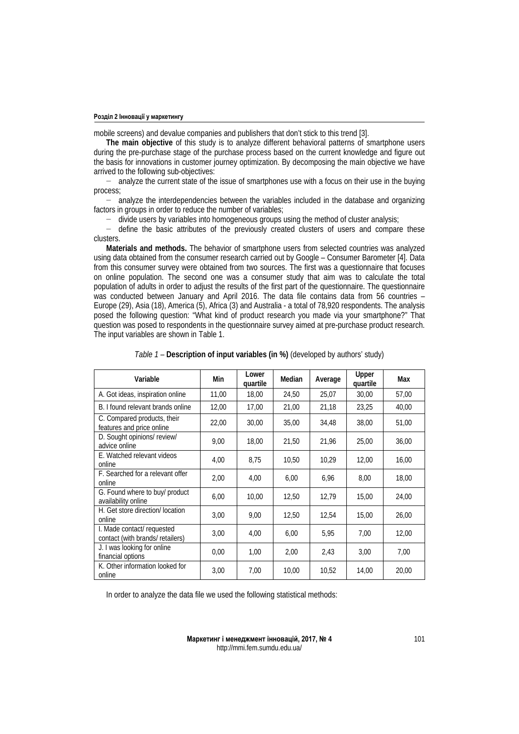mobile screens) and devalue companies and publishers that don't stick to this trend [\[3\]](#page-11-3).

**The main objective** of this study is to analyze different behavioral patterns of smartphone users during the pre-purchase stage of the purchase process based on the current knowledge and figure out the basis for innovations in customer journey optimization. By decomposing the main objective we have arrived to the following sub-objectives:

− analyze the current state of the issue of smartphones use with a focus on their use in the buying process;

− analyze the interdependencies between the variables included in the database and organizing factors in groups in order to reduce the number of variables;

− divide users by variables into homogeneous groups using the method of cluster analysis;

− define the basic attributes of the previously created clusters of users and compare these clusters.

**Materials and methods.** The behavior of smartphone users from selected countries was analyzed using data obtained from the consumer research carried out by Google – Consumer Barometer [\[4\].](#page-11-17) Data from this consumer survey were obtained from two sources. The first was a questionnaire that focuses on online population. The second one was a consumer study that aim was to calculate the total population of adults in order to adjust the results of the first part of the questionnaire. The questionnaire was conducted between January and April 2016. The data file contains data from 56 countries – Europe (29), Asia (18), America (5), Africa (3) and Australia - a total of 78,920 respondents. The analysis posed the following question: "What kind of product research you made via your smartphone?" That question was posed to respondents in the questionnaire survey aimed at pre-purchase product research. The input variables are shown in Table 1.

| Variable                                                       | Min   | Lower<br>quartile | Median | Average | <b>Upper</b><br>quartile | Max   |
|----------------------------------------------------------------|-------|-------------------|--------|---------|--------------------------|-------|
| A. Got ideas, inspiration online                               | 11,00 | 18,00             | 24,50  | 25,07   | 30,00                    | 57,00 |
| B. I found relevant brands online                              | 12,00 | 17,00             | 21,00  | 21,18   | 23,25                    | 40,00 |
| C. Compared products, their<br>features and price online       | 22,00 | 30,00             | 35,00  | 34,48   | 38,00                    | 51,00 |
| D. Sought opinions/ review/<br>advice online                   | 9.00  | 18.00             | 21,50  | 21,96   | 25.00                    | 36,00 |
| E. Watched relevant videos<br>online                           | 4,00  | 8,75              | 10,50  | 10.29   | 12,00                    | 16,00 |
| F. Searched for a relevant offer<br>online                     | 2,00  | 4,00              | 6,00   | 6,96    | 8,00                     | 18,00 |
| G. Found where to buy/ product<br>availability online          | 6,00  | 10.00             | 12,50  | 12,79   | 15,00                    | 24,00 |
| H. Get store direction/ location<br>online                     | 3,00  | 9.00              | 12,50  | 12,54   | 15,00                    | 26,00 |
| I. Made contact/ requested<br>contact (with brands/ retailers) | 3,00  | 4,00              | 6,00   | 5,95    | 7,00                     | 12,00 |
| J. I was looking for online<br>financial options               | 0,00  | 1,00              | 2,00   | 2,43    | 3,00                     | 7,00  |
| K. Other information looked for<br>online                      | 3,00  | 7,00              | 10,00  | 10,52   | 14,00                    | 20,00 |

*Table 1 –* **Description of input variables (in %)** (developed by authors' study)

In order to analyze the data file we used the following statistical methods: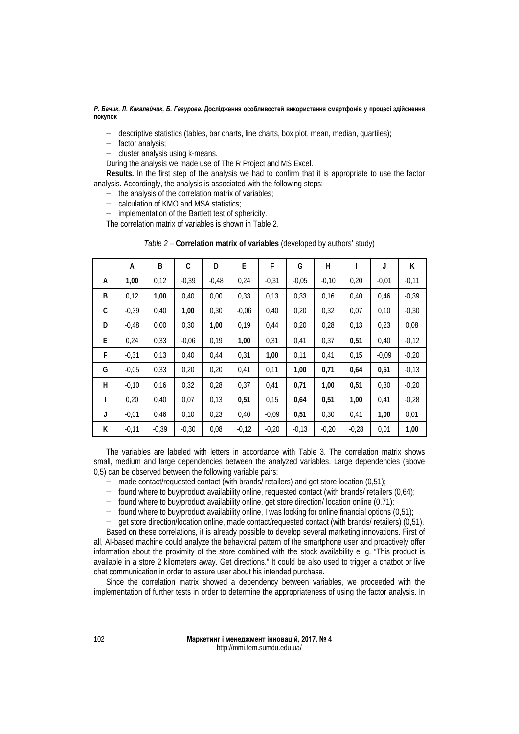*Р. Бачик, Л. Какалейчик, Б. Гавурова.* **Дослідження особливостей використання смартфонів у процесі здійснення покупок**

- descriptive statistics (tables, bar charts, line charts, box plot, mean, median, quartiles);
- − factor analysis;
- cluster analysis using k-means.

During the analysis we made use of The R Project and MS Excel.

**Results.** In the first step of the analysis we had to confirm that it is appropriate to use the factor analysis. Accordingly, the analysis is associated with the following steps:

- − the analysis of the correlation matrix of variables;
- − calculation of KMO and MSA statistics;

− implementation of the Bartlett test of sphericity.

The correlation matrix of variables is shown in Table 2.

*Table 2 –* **Correlation matrix of variables** (developed by authors' study)

|   | А       | B       | C       | D       | E       | F       | G       | н       | I       | J       | K       |
|---|---------|---------|---------|---------|---------|---------|---------|---------|---------|---------|---------|
| A | 1,00    | 0,12    | $-0.39$ | $-0.48$ | 0,24    | $-0,31$ | $-0.05$ | $-0,10$ | 0,20    | $-0,01$ | $-0,11$ |
| B | 0,12    | 1,00    | 0,40    | 0,00    | 0,33    | 0,13    | 0,33    | 0,16    | 0,40    | 0,46    | $-0,39$ |
| C | $-0.39$ | 0,40    | 1,00    | 0,30    | $-0.06$ | 0,40    | 0,20    | 0,32    | 0,07    | 0,10    | $-0,30$ |
| D | $-0.48$ | 0.00    | 0,30    | 1,00    | 0,19    | 0.44    | 0,20    | 0,28    | 0,13    | 0,23    | 0,08    |
| E | 0,24    | 0,33    | $-0.06$ | 0,19    | 1,00    | 0,31    | 0,41    | 0,37    | 0,51    | 0,40    | $-0,12$ |
| F | $-0,31$ | 0,13    | 0,40    | 0,44    | 0,31    | 1,00    | 0,11    | 0,41    | 0,15    | $-0.09$ | $-0,20$ |
| G | $-0.05$ | 0,33    | 0,20    | 0,20    | 0,41    | 0,11    | 1,00    | 0,71    | 0,64    | 0,51    | $-0,13$ |
| н | $-0,10$ | 0,16    | 0,32    | 0,28    | 0,37    | 0,41    | 0,71    | 1,00    | 0,51    | 0,30    | $-0,20$ |
| L | 0,20    | 0,40    | 0,07    | 0,13    | 0,51    | 0,15    | 0,64    | 0,51    | 1,00    | 0,41    | $-0,28$ |
| J | $-0,01$ | 0,46    | 0,10    | 0,23    | 0,40    | $-0.09$ | 0,51    | 0,30    | 0,41    | 1,00    | 0,01    |
| K | $-0,11$ | $-0,39$ | $-0,30$ | 0,08    | $-0,12$ | $-0,20$ | $-0,13$ | $-0,20$ | $-0.28$ | 0,01    | 1,00    |

The variables are labeled with letters in accordance with Table 3. The correlation matrix shows small, medium and large dependencies between the analyzed variables. Large dependencies (above 0,5) can be observed between the following variable pairs:

- − made contact/requested contact (with brands/ retailers) and get store location (0,51);
- − found where to buy/product availability online, requested contact (with brands/ retailers (0,64);
- − found where to buy/product availability online, get store direction/ location online (0,71);
- 
- − found where to buy/product availability online, I was looking for online financial options (0,51); − get store direction/location online, made contact/requested contact (with brands/ retailers) (0,51).

Based on these correlations, it is already possible to develop several marketing innovations. First of all, AI-based machine could analyze the behavioral pattern of the smartphone user and proactively offer information about the proximity of the store combined with the stock availability e. g. "This product is available in a store 2 kilometers away. Get directions." It could be also used to trigger a chatbot or live chat communication in order to assure user about his intended purchase.

Since the correlation matrix showed a dependency between variables, we proceeded with the implementation of further tests in order to determine the appropriateness of using the factor analysis. In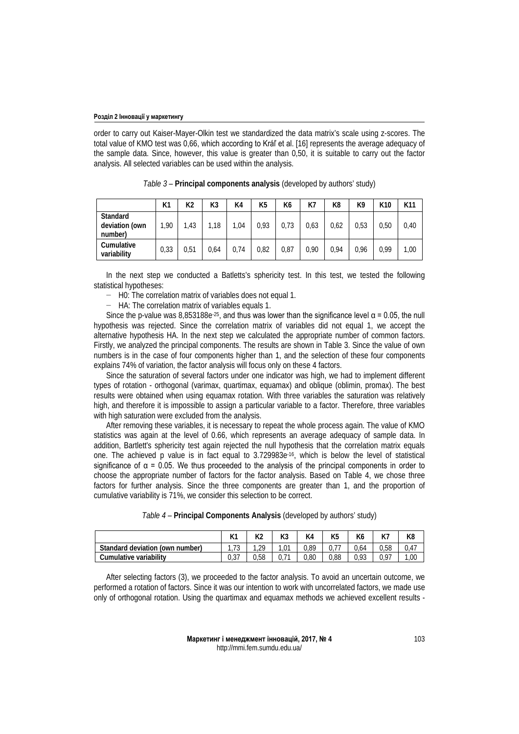order to carry out Kaiser-Mayer-Olkin test we standardized the data matrix's scale using z-scores. The total value of KMO test was 0,66, which according to Kráľ et al. [[16\]](#page-11-18) represents the average adequacy of the sample data. Since, however, this value is greater than 0,50, it is suitable to carry out the factor analysis. All selected variables can be used within the analysis.

|                                              | K1   | К2   | K3   | K4   | K <sub>5</sub> | K6   | K7   | K8   | K9   | K <sub>10</sub> | K11  |
|----------------------------------------------|------|------|------|------|----------------|------|------|------|------|-----------------|------|
| <b>Standard</b><br>deviation (own<br>number) | 1,90 | 1,43 | .18  | 1,04 | 0.93           | 0,73 | 0,63 | 0,62 | 0,53 | 0,50            | 0,40 |
| Cumulative<br>variability                    | 0,33 | 0,51 | 0.64 | 0.74 | 0.82           | 0,87 | 0.90 | 0.94 | 0.96 | 0.99            | 1,00 |

*Table 3 –* **Principal components analysis** (developed by authors' study)

In the next step we conducted a Batletts's sphericity test. In this test, we tested the following statistical hypotheses:

− H0: The correlation matrix of variables does not equal 1.

− HA: The correlation matrix of variables equals 1.

Since the p-value was  $8.853188e^{-25}$ , and thus was lower than the significance level  $\alpha$  = 0.05, the null hypothesis was rejected. Since the correlation matrix of variables did not equal 1, we accept the alternative hypothesis HA. In the next step we calculated the appropriate number of common factors. Firstly, we analyzed the principal components. The results are shown in Table 3. Since the value of own numbers is in the case of four components higher than 1, and the selection of these four components explains 74% of variation, the factor analysis will focus only on these 4 factors.

Since the saturation of several factors under one indicator was high, we had to implement different types of rotation - orthogonal (varimax, quartimax, equamax) and oblique (oblimin, promax). The best results were obtained when using equamax rotation. With three variables the saturation was relatively high, and therefore it is impossible to assign a particular variable to a factor. Therefore, three variables with high saturation were excluded from the analysis.

After removing these variables, it is necessary to repeat the whole process again. The value of KMO statistics was again at the level of 0.66, which represents an average adequacy of sample data. In addition, Bartlett's sphericity test again rejected the null hypothesis that the correlation matrix equals one. The achieved p value is in fact equal to 3.729983e-16, which is below the level of statistical significance of  $\alpha$  = 0.05. We thus proceeded to the analysis of the principal components in order to choose the appropriate number of factors for the factor analysis. Based on Table 4, we chose three factors for further analysis. Since the three components are greater than 1, and the proportion of cumulative variability is 71%, we consider this selection to be correct.

|                                 |           | ռ∠   | rэ             |      | K <sub>5</sub> | ĸ٥   | <b>I/T</b><br>N/ | K8   |
|---------------------------------|-----------|------|----------------|------|----------------|------|------------------|------|
| Standard deviation (own number) | 70<br>ن ، | 20   | $\sim$<br>,U I | 0,89 |                | J.64 | 0.58             | 0.47 |
| Cumulative variability          | ו טיט     | 0.58 |                | 0.80 | 0.88           | 0.93 | በ 97             | 1.00 |

After selecting factors (3), we proceeded to the factor analysis. To avoid an uncertain outcome, we performed a rotation of factors. Since it was our intention to work with uncorrelated factors, we made use only of orthogonal rotation. Using the quartimax and equamax methods we achieved excellent results -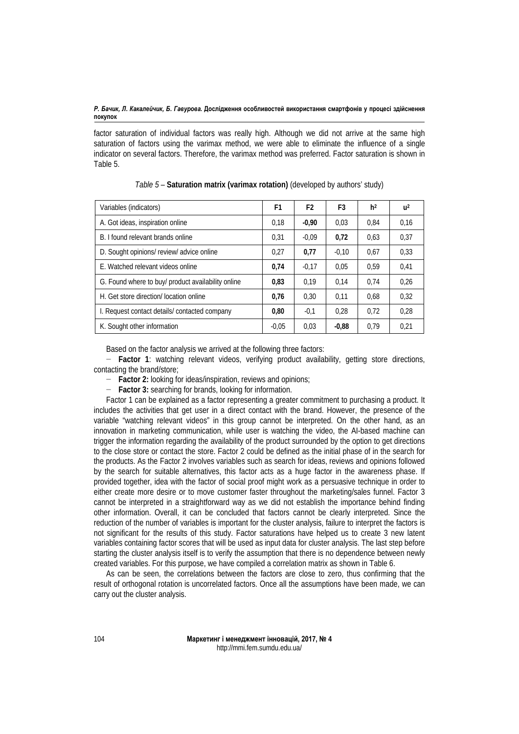factor saturation of individual factors was really high. Although we did not arrive at the same high saturation of factors using the varimax method, we were able to eliminate the influence of a single indicator on several factors. Therefore, the varimax method was preferred. Factor saturation is shown in Table 5.

| Variables (indicators)                             | F1      | F <sub>2</sub> | F3      | h <sup>2</sup> | u <sup>2</sup> |
|----------------------------------------------------|---------|----------------|---------|----------------|----------------|
| A. Got ideas, inspiration online                   | 0.18    | $-0.90$        | 0,03    | 0.84           | 0,16           |
| B. I found relevant brands online                  |         | $-0.09$        | 0,72    | 0,63           | 0,37           |
| D. Sought opinions/review/advice online            | 0.27    | 0,77           | $-0.10$ | 0.67           | 0.33           |
| E. Watched relevant videos online                  | 0,74    | $-0.17$        | 0.05    | 0.59           | 0,41           |
| G. Found where to buy/ product availability online | 0.83    | 0.19           | 0.14    | 0.74           | 0,26           |
| H. Get store direction/ location online            | 0.76    | 0.30           | 0.11    | 0.68           | 0,32           |
| I. Request contact details/contacted company       | 0.80    | $-0,1$         | 0.28    | 0.72           | 0.28           |
| K. Sought other information                        | $-0.05$ | 0,03           | $-0.88$ | 0.79           | 0.21           |

| Table 5 - Saturation matrix (varimax rotation) (developed by authors' study) |  |  |
|------------------------------------------------------------------------------|--|--|
|------------------------------------------------------------------------------|--|--|

Based on the factor analysis we arrived at the following three factors:

− **Factor 1**: watching relevant videos, verifying product availability, getting store directions, contacting the brand/store;

− **Factor 2:** looking for ideas/inspiration, reviews and opinions;

− **Factor 3:** searching for brands, looking for information.

Factor 1 can be explained as a factor representing a greater commitment to purchasing a product. It includes the activities that get user in a direct contact with the brand. However, the presence of the variable "watching relevant videos" in this group cannot be interpreted. On the other hand, as an innovation in marketing communication, while user is watching the video, the AI-based machine can trigger the information regarding the availability of the product surrounded by the option to get directions to the close store or contact the store. Factor 2 could be defined as the initial phase of in the search for the products. As the Factor 2 involves variables such as search for ideas, reviews and opinions followed by the search for suitable alternatives, this factor acts as a huge factor in the awareness phase. If provided together, idea with the factor of social proof might work as a persuasive technique in order to either create more desire or to move customer faster throughout the marketing/sales funnel. Factor 3 cannot be interpreted in a straightforward way as we did not establish the importance behind finding other information. Overall, it can be concluded that factors cannot be clearly interpreted. Since the reduction of the number of variables is important for the cluster analysis, failure to interpret the factors is not significant for the results of this study. Factor saturations have helped us to create 3 new latent variables containing factor scores that will be used as input data for cluster analysis. The last step before starting the cluster analysis itself is to verify the assumption that there is no dependence between newly created variables. For this purpose, we have compiled a correlation matrix as shown in Table 6.

As can be seen, the correlations between the factors are close to zero, thus confirming that the result of orthogonal rotation is uncorrelated factors. Once all the assumptions have been made, we can carry out the cluster analysis.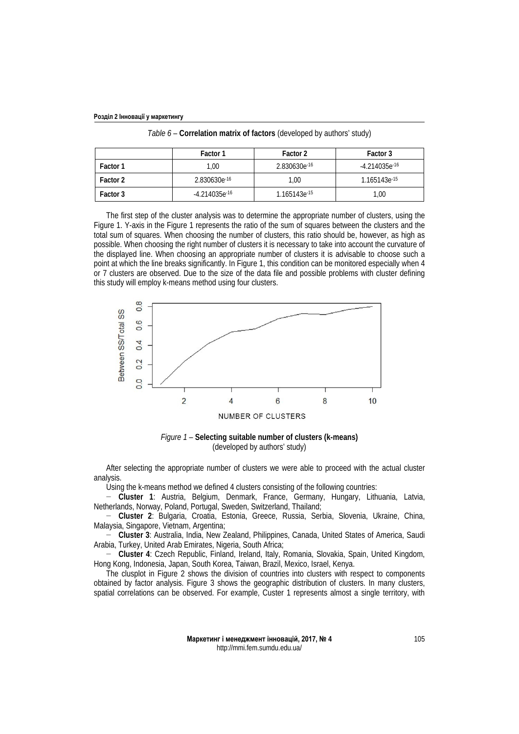| Розділ 2 Інновації у маркетингу |  |  |
|---------------------------------|--|--|
|---------------------------------|--|--|

|          | Factor 1           | Factor 2                 | Factor 3                 |
|----------|--------------------|--------------------------|--------------------------|
| Factor 1 | 1.00               | 2.830630e <sup>-16</sup> | $-4.214035e^{-16}$       |
| Factor 2 | 2.830630e-16       | 1.00                     | 1.165143e <sup>-15</sup> |
| Factor 3 | $-4.214035e^{-16}$ | 1.165143e-15             | 1,00                     |

*Table 6 –* **Correlation matrix of factors** (developed by authors' study)

The first step of the cluster analysis was to determine the appropriate number of clusters, using the Figure 1. Y-axis in the Figure 1 represents the ratio of the sum of squares between the clusters and the total sum of squares. When choosing the number of clusters, this ratio should be, however, as high as possible. When choosing the right number of clusters it is necessary to take into account the curvature of the displayed line. When choosing an appropriate number of clusters it is advisable to choose such a point at which the line breaks significantly. In Figure 1, this condition can be monitored especially when 4 or 7 clusters are observed. Due to the size of the data file and possible problems with cluster defining this study will employ k-means method using four clusters.



*Figure 1 –* **Selecting suitable number of clusters (k-means)** (developed by authors' study)

After selecting the appropriate number of clusters we were able to proceed with the actual cluster analysis.

Using the k-means method we defined 4 clusters consisting of the following countries:

− **Cluster 1**: Austria, Belgium, Denmark, France, Germany, Hungary, Lithuania, Latvia, Netherlands, Norway, Poland, Portugal, Sweden, Switzerland, Thailand;

− **Cluster 2**: Bulgaria, Croatia, Estonia, Greece, Russia, Serbia, Slovenia, Ukraine, China, Malaysia, Singapore, Vietnam, Argentina;

− **Cluster 3**: Australia, India, New Zealand, Philippines, Canada, United States of America, Saudi Arabia, Turkey, United Arab Emirates, Nigeria, South Africa;

− **Cluster 4**: Czech Republic, Finland, Ireland, Italy, Romania, Slovakia, Spain, United Kingdom, Hong Kong, Indonesia, Japan, South Korea, Taiwan, Brazil, Mexico, Israel, Kenya.

The clusplot in Figure 2 shows the division of countries into clusters with respect to components obtained by factor analysis. Figure 3 shows the geographic distribution of clusters. In many clusters, spatial correlations can be observed. For example, Custer 1 represents almost a single territory, with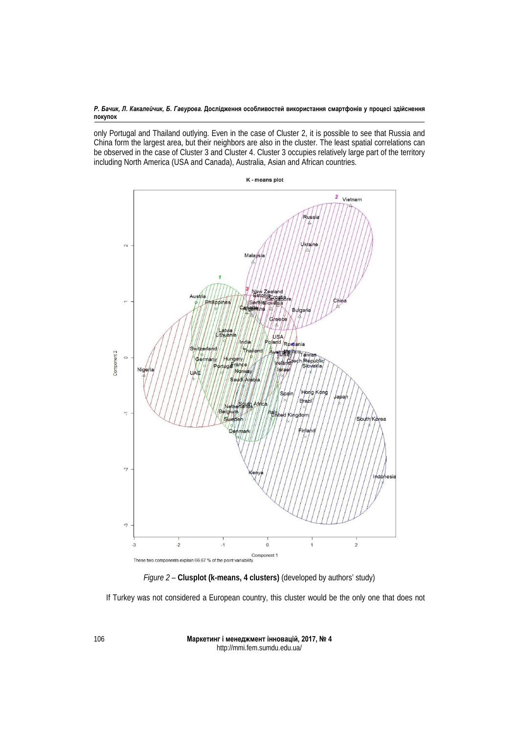*Р. Бачик, Л. Какалейчик, Б. Гавурова.* **Дослідження особливостей використання смартфонів у процесі здійснення покупок**

only Portugal and Thailand outlying. Even in the case of Cluster 2, it is possible to see that Russia and China form the largest area, but their neighbors are also in the cluster. The least spatial correlations can be observed in the case of Cluster 3 and Cluster 4. Cluster 3 occupies relatively large part of the territory including North America (USA and Canada), Australia, Asian and African countries.



*Figure 2 –* **Clusplot (k-means, 4 clusters)** (developed by authors' study)

If Turkey was not considered a European country, this cluster would be the only one that does not

**Маркетинг і менеджмент інновацій, 2017, № 4** http://mmi.fem.sumdu.edu.ua/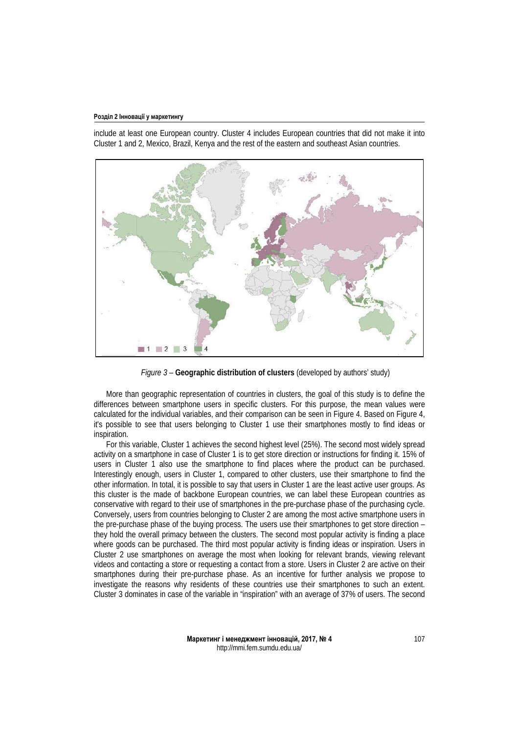include at least one European country. Cluster 4 includes European countries that did not make it into Cluster 1 and 2, Mexico, Brazil, Kenya and the rest of the eastern and southeast Asian countries.



*Figure 3 –* **Geographic distribution of clusters** (developed by authors' study)

More than geographic representation of countries in clusters, the goal of this study is to define the differences between smartphone users in specific clusters. For this purpose, the mean values were calculated for the individual variables, and their comparison can be seen in Figure 4. Based on Figure 4, it's possible to see that users belonging to Cluster 1 use their smartphones mostly to find ideas or inspiration.

For this variable, Cluster 1 achieves the second highest level (25%). The second most widely spread activity on a smartphone in case of Cluster 1 is to get store direction or instructions for finding it. 15% of users in Cluster 1 also use the smartphone to find places where the product can be purchased. Interestingly enough, users in Cluster 1, compared to other clusters, use their smartphone to find the other information. In total, it is possible to say that users in Cluster 1 are the least active user groups. As this cluster is the made of backbone European countries, we can label these European countries as conservative with regard to their use of smartphones in the pre-purchase phase of the purchasing cycle. Conversely, users from countries belonging to Cluster 2 are among the most active smartphone users in the pre-purchase phase of the buying process. The users use their smartphones to get store direction – they hold the overall primacy between the clusters. The second most popular activity is finding a place where goods can be purchased. The third most popular activity is finding ideas or inspiration. Users in Cluster 2 use smartphones on average the most when looking for relevant brands, viewing relevant videos and contacting a store or requesting a contact from a store. Users in Cluster 2 are active on their smartphones during their pre-purchase phase. As an incentive for further analysis we propose to investigate the reasons why residents of these countries use their smartphones to such an extent. Cluster 3 dominates in case of the variable in "inspiration" with an average of 37% of users. The second

> **Маркетинг і менеджмент інновацій, 2017, № 4** http://mmi.fem.sumdu.edu.ua/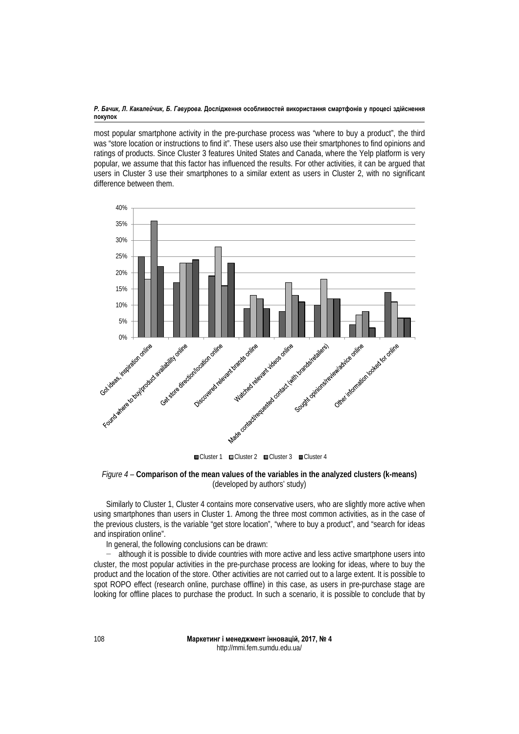most popular smartphone activity in the pre-purchase process was "where to buy a product", the third was "store location or instructions to find it". These users also use their smartphones to find opinions and ratings of products. Since Cluster 3 features United States and Canada, where the Yelp platform is very popular, we assume that this factor has influenced the results. For other activities, it can be argued that users in Cluster 3 use their smartphones to a similar extent as users in Cluster 2, with no significant difference between them.





Similarly to Cluster 1, Cluster 4 contains more conservative users, who are slightly more active when using smartphones than users in Cluster 1. Among the three most common activities, as in the case of the previous clusters, is the variable "get store location", "where to buy a product", and "search for ideas and inspiration online".

In general, the following conclusions can be drawn:

− although it is possible to divide countries with more active and less active smartphone users into cluster, the most popular activities in the pre-purchase process are looking for ideas, where to buy the product and the location of the store. Other activities are not carried out to a large extent. It is possible to spot ROPO effect (research online, purchase offline) in this case, as users in pre-purchase stage are looking for offline places to purchase the product. In such a scenario, it is possible to conclude that by

> **Маркетинг і менеджмент інновацій, 2017, № 4** http://mmi.fem.sumdu.edu.ua/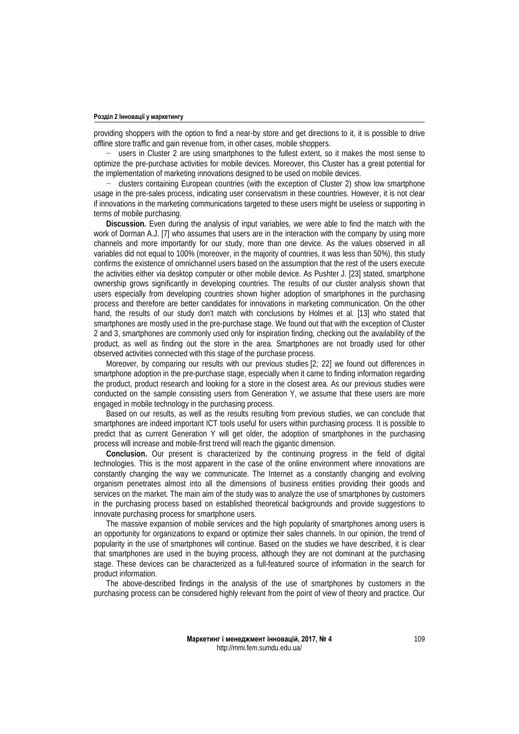providing shoppers with the option to find a near-by store and get directions to it, it is possible to drive offline store traffic and gain revenue from, in other cases, mobile shoppers.

− users in Cluster 2 are using smartphones to the fullest extent, so it makes the most sense to optimize the pre-purchase activities for mobile devices. Moreover, this Cluster has a great potential for the implementation of marketing innovations designed to be used on mobile devices.

− clusters containing European countries (with the exception of Cluster 2) show low smartphone usage in the pre-sales process, indicating user conservatism in these countries. However, it is not clear if innovations in the marketing communications targeted to these users might be useless or supporting in terms of mobile purchasing.

**Discussion.** Even during the analysis of input variables, we were able to find the match with the work of Dorman A.J. [\[7\]](#page-11-4) who assumes that users are in the interaction with the company by using more channels and more importantly for our study, more than one device. As the values observed in all variables did not equal to 100% (moreover, in the majority of countries, it was less than 50%), this study confirms the existence of omnichannel users based on the assumption that the rest of the users execute the activities either via desktop computer or other mobile device. As Pushter J. [\[23\]](#page-12-5) stated, smartphone ownership grows significantly in developing countries. The results of our cluster analysis shown that users especially from developing countries shown higher adoption of smartphones in the purchasing process and therefore are better candidates for innovations in marketing communication. On the other hand, the results of our study don't match with conclusions by Holmes et al. [\[13\]](#page-11-11) who stated that smartphones are mostly used in the pre-purchase stage. We found out that with the exception of Cluster 2 and 3, smartphones are commonly used only for inspiration finding, checking out the availability of the product, as well as finding out the store in the area. Smartphones are not broadly used for other observed activities connected with this stage of the purchase process.

Moreover, by comparing our results with our previous studies [2; 22] we found out differences in smartphone adoption in the pre-purchase stage, especially when it came to finding information regarding the product, product research and looking for a store in the closest area. As our previous studies were conducted on the sample consisting users from Generation Y, we assume that these users are more engaged in mobile technology in the purchasing process.

Based on our results, as well as the results resulting from previous studies, we can conclude that smartphones are indeed important ICT tools useful for users within purchasing process. It is possible to predict that as current Generation Y will get older, the adoption of smartphones in the purchasing process will increase and mobile-first trend will reach the gigantic dimension.

**Conclusion.** Our present is characterized by the continuing progress in the field of digital technologies. This is the most apparent in the case of the online environment where innovations are constantly changing the way we communicate. The Internet as a constantly changing and evolving organism penetrates almost into all the dimensions of business entities providing their goods and services on the market. The main aim of the study was to analyze the use of smartphones by customers in the purchasing process based on established theoretical backgrounds and provide suggestions to innovate purchasing process for smartphone users.

The massive expansion of mobile services and the high popularity of smartphones among users is an opportunity for organizations to expand or optimize their sales channels. In our opinion, the trend of popularity in the use of smartphones will continue. Based on the studies we have described, it is clear that smartphones are used in the buying process, although they are not dominant at the purchasing stage. These devices can be characterized as a full-featured source of information in the search for product information.

The above-described findings in the analysis of the use of smartphones by customers in the purchasing process can be considered highly relevant from the point of view of theory and practice. Our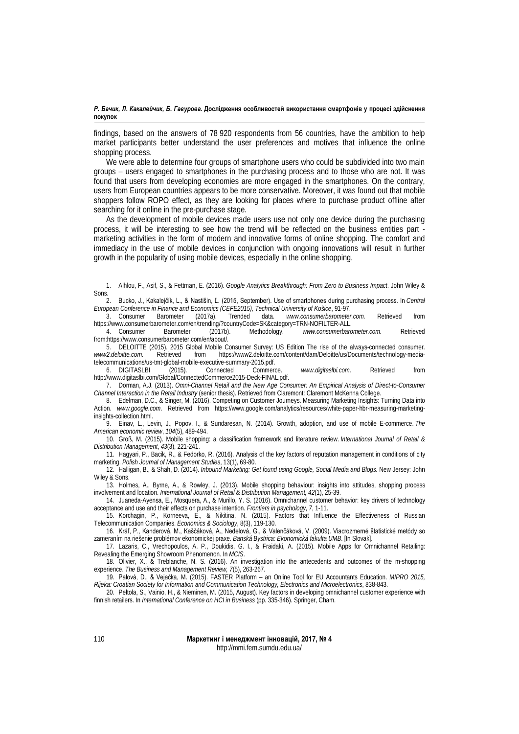findings, based on the answers of 78 920 respondents from 56 countries, have the ambition to help market participants better understand the user preferences and motives that influence the online shopping process.

We were able to determine four groups of smartphone users who could be subdivided into two main groups – users engaged to smartphones in the purchasing process and to those who are not. It was found that users from developing economies are more engaged in the smartphones. On the contrary, users from European countries appears to be more conservative. Moreover, it was found out that mobile shoppers follow ROPO effect, as they are looking for places where to purchase product offline after searching for it online in the pre-purchase stage.

As the development of mobile devices made users use not only one device during the purchasing process, it will be interesting to see how the trend will be reflected on the business entities part marketing activities in the form of modern and innovative forms of online shopping. The comfort and immediacy in the use of mobile devices in conjunction with ongoing innovations will result in further growth in the popularity of using mobile devices, especially in the online shopping.

<span id="page-11-12"></span>2. Bucko, J., Kakalejčík, L., & Nastišin, Ľ. (2015, September). Use of smartphones during purchasing process. In *Central European Conference in Finance and Economics (CEFE2015), Technical University of Košice*, 91-97.

<span id="page-11-3"></span>3. Consumer Barometer (2017a). Trended data. *www.consumerbarometer.com.* Retrieved from [https://www.consumerbarometer.com/en/trending/?countryCode=SK&category=TRN-NOFILTER-ALL.](https://www.consumerbarometer.com/en/trending/?countryCode=SK&category=TRN-NOFILTER-ALL) 

<span id="page-11-17"></span>4. Consumer Barometer (2017b). Methodology. *[www.consumerbarometer.com.](http://www.consumerbarometer.com/)* Retrieved fro[m:https://www.consumerbarometer.com/en/about/.](https://www.consumerbarometer.com/en/about/) 

<span id="page-11-5"></span>5. DELOITTE (2015). 2015 Global Mobile Consumer Survey: US Edition The rise of the always-connected consumer.<br>-www2.deloitte.com/content/dam/Deloitte/us/Documents/technology-media [https://www2.deloitte.com/content/dam/Deloitte/us/Documents/technology-media](https://www2.deloitte.com/content/dam/Deloitte/us/Documents/technology-media-telecommunications/us-tmt-global-mobile-executive-summary-2015.pdf)[telecommunications/us-tmt-global-mobile-executive-summary-2015.pdf.](https://www2.deloitte.com/content/dam/Deloitte/us/Documents/technology-media-telecommunications/us-tmt-global-mobile-executive-summary-2015.pdf) 

<span id="page-11-13"></span>6. DIGITASLBI (2015). Connected Commerce. *www.digitaslbi.com.* Retrieved from [http://www.digitaslbi.com/Global/ConnectedCommerce2015-Deck-FINAL.pdf.](http://www.digitaslbi.com/Global/ConnectedCommerce2015-Deck-FINAL.pdf) 

<span id="page-11-4"></span>7. Dorman, A.J. (2013). *Omni-Channel Retail and the New Age Consumer: An Empirical Analysis of Direct-to-Consumer Channel Interaction in the Retail Industry* (senior thesis). Retrieved from Claremont: Claremont McKenna College.

<span id="page-11-7"></span>8. Edelman, D.C., & Singer, M. (2016). Competing on Customer Journeys. Measuring Marketing Insights: Turning Data into Action. *www.google.com*. Retrieved from [https://www.google.com/analytics/resources/white-paper-hbr-measuring-marketing](https://www.google.com/analytics/resources/white-paper-hbr-measuring-marketing-insights-collection.html)[insights-collection.html.](https://www.google.com/analytics/resources/white-paper-hbr-measuring-marketing-insights-collection.html) 

<span id="page-11-14"></span>9. Einav, L., Levin, J., Popov, I., & Sundaresan, N. (2014). Growth, adoption, and use of mobile E-commerce. *The American economic review*, *104*(5), 489-494.

<span id="page-11-16"></span>10. Groß, M. (2015). Mobile shopping: a classification framework and literature review. *International Journal of Retail & Distribution Management*, *43*(3), 221-241.

<span id="page-11-2"></span>11. Hagyari, P., Bacik, R., & Fedorko, R. (2016). Analysis of the key factors of reputation management in conditions of city marketing. *Polish Journal of Management Studies*, 13(1), 69-80.

<span id="page-11-1"></span>12. Halligan, B., & Shah, D. (2014). *Inbound Marketing: Get found using Google, Social Media and Blogs.* New Jersey: John Wiley & Sons.

<span id="page-11-11"></span>13. Holmes, A., Byrne, A., & Rowley, J. (2013). Mobile shopping behaviour: insights into attitudes, shopping process involvement and location. *International Journal of Retail & Distribution Management, 42*(1), 25-39.

<span id="page-11-6"></span>14. Juaneda-Ayensa, E., Mosquera, A., & Murillo, Y. S. (2016). Omnichannel customer behavior: key drivers of technology acceptance and use and their effects on purchase intention. *Frontiers in psychology*, *7*, 1-11.

15. Korchagin, P., Korneeva, E., & Nikitina, N. (2015). Factors that Influence the Effectiveness of Russian Telecommunication Companies. *Economics & Sociology*, 8(3), 119-130.

<span id="page-11-18"></span>16. Kráľ, P., Kanderová, M., Kaščáková, A., Nedelová, G., & Valenčáková, V. (2009). Viacrozmerné štatistické metódy so zameraním na riešenie problémov ekonomickej praxe. *Banská Bystrica: Ekonomická fakulta UMB*. [In Slovak].

<span id="page-11-10"></span>17. Lazaris, C., Vrechopoulos, A. P., Doukidis, G. I., & Fraidaki, A. (2015). Mobile Apps for Omnichannel Retailing: Revealing the Emerging Showroom Phenomenon. In *MCIS*.

<span id="page-11-15"></span>18. Olivier, X., & Treblanche, N. S. (2016). An investigation into the antecedents and outcomes of the m-shopping experience. *The Business and Management Review, 7*(5), 263-267.

<span id="page-11-0"></span>19. Palová, D., & Vejačka, M. (2015). FASTER Platform – an Online Tool for EU Accountants Education. *MIPRO 2015, Rijeka: Croatian Society for Information and Communication Technology, Electronics and Microelectronics*, 838-843.

<span id="page-11-9"></span>20. Peltola, S., Vainio, H., & Nieminen, M. (2015, August). Key factors in developing omnichannel customer experience with finnish retailers. In *International Conference on HCI in Business* (pp. 335-346). Springer, Cham.

<span id="page-11-8"></span><sup>1.</sup> Alhlou, F., Asif, S., & Fettman, E. (2016). *Google Analytics Breakthrough: From Zero to Business Impact*. John Wiley & Sons.<br>2.